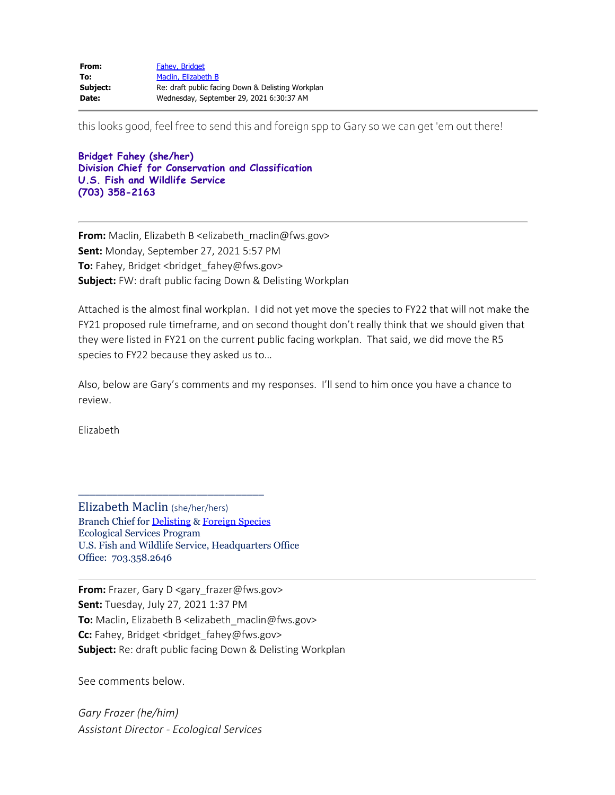| From:    | Fahev, Bridget                                    |
|----------|---------------------------------------------------|
| To:      | Maclin, Elizabeth B                               |
| Subject: | Re: draft public facing Down & Delisting Workplan |
| Date:    | Wednesday, September 29, 2021 6:30:37 AM          |

this looks good, feel free to send this and foreign spp to Gary so we can get 'em out there!

**Bridget Fahey (she/her) Division Chief for Conservation and Classification U.S. Fish and Wildlife Service (703) 358-2163**

**From:** Maclin, Elizabeth B <elizabeth\_maclin@fws.gov> **Sent:** Monday, September 27, 2021 5:57 PM **To:** Fahey, Bridget <bridget fahey@fws.gov> **Subject:** FW: draft public facing Down & Delisting Workplan

Attached is the almost final workplan. I did not yet move the species to FY22 that will not make the FY21 proposed rule timeframe, and on second thought don't really think that we should given that they were listed in FY21 on the current public facing workplan. That said, we did move the R5 species to FY22 because they asked us to…

Also, below are Gary's comments and my responses. I'll send to him once you have a chance to review.

Elizabeth

Elizabeth Maclin (she/her/hers) Branch Chief for [Delisting](https://gcc02.safelinks.protection.outlook.com/?url=https%3A%2F%2Fwww.fws.gov%2Fendangered%2Fwhat-we-do%2Fdownlisting-delisting-workplan.html&data=04%7C01%7Cbridget_fahey%40fws.gov%7Cad02d521e442489539e708d98201d530%7C0693b5ba4b184d7b9341f32f400a5494%7C0%7C0%7C637683766647044339%7CUnknown%7CTWFpbGZsb3d8eyJWIjoiMC4wLjAwMDAiLCJQIjoiV2luMzIiLCJBTiI6Ik1haWwiLCJXVCI6Mn0%3D%7C1000&sdata=VVM%2FGQlz9pIo3n%2BgLacLZtgo%2FWIu%2B2GcThcctdEMKsU%3D&reserved=0) & [Foreign Species](https://gcc02.safelinks.protection.outlook.com/?url=https%3A%2F%2Fwww.fws.gov%2Fendangered%2Fwhat-we-do%2Fforeign-species.html&data=04%7C01%7Cbridget_fahey%40fws.gov%7Cad02d521e442489539e708d98201d530%7C0693b5ba4b184d7b9341f32f400a5494%7C0%7C0%7C637683766647054295%7CUnknown%7CTWFpbGZsb3d8eyJWIjoiMC4wLjAwMDAiLCJQIjoiV2luMzIiLCJBTiI6Ik1haWwiLCJXVCI6Mn0%3D%7C1000&sdata=298r5hV%2BiyqXf9PSqQVNrWRXOWBJY4mhNdzJE2HP0RY%3D&reserved=0) Ecological Services Program U.S. Fish and Wildlife Service, Headquarters Office Office: 703.358.2646

\_\_\_\_\_\_\_\_\_\_\_\_\_\_\_\_\_\_\_\_\_\_\_\_\_\_\_\_\_\_\_\_\_

**From:** Frazer, Gary D <gary\_frazer@fws.gov> **Sent:** Tuesday, July 27, 2021 1:37 PM **To:** Maclin, Elizabeth B <elizabeth\_maclin@fws.gov> **Cc:** Fahey, Bridget <bridget\_fahey@fws.gov> **Subject:** Re: draft public facing Down & Delisting Workplan

See comments below.

*Gary Frazer (he/him) Assistant Director - Ecological Services*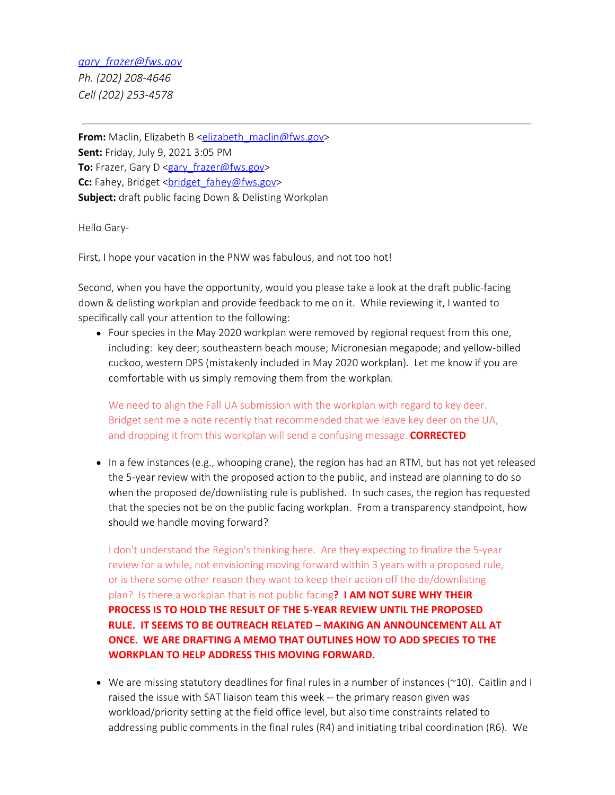## *[gary\\_frazer@fws.gov](mailto:gary_frazer@fws.gov)*

*Ph. (202) 208-4646 Cell (202) 253-4578*

**From:** Maclin, Elizabeth B [<elizabeth\\_maclin@fws.gov](mailto:elizabeth_maclin@fws.gov)> **Sent:** Friday, July 9, 2021 3:05 PM **To:** Frazer, Gary D [<gary\\_frazer@fws.gov](mailto:gary_frazer@fws.gov)> Cc: Fahey, Bridget <br />
climated<br />
Cc: Fahey, Bridget<br />
<br />
Let  $\frac{1}{2}$  fahey@fws.gov> **Subject:** draft public facing Down & Delisting Workplan

Hello Gary-

First, I hope your vacation in the PNW was fabulous, and not too hot!

Second, when you have the opportunity, would you please take a look at the draft public-facing down & delisting workplan and provide feedback to me on it. While reviewing it, I wanted to specifically call your attention to the following:

• Four species in the May 2020 workplan were removed by regional request from this one, including: key deer; southeastern beach mouse; Micronesian megapode; and yellow-billed cuckoo, western DPS (mistakenly included in May 2020 workplan). Let me know if you are comfortable with us simply removing them from the workplan.

We need to align the Fall UA submission with the workplan with regard to key deer. Bridget sent me a note recently that recommended that we leave key deer on the UA, and dropping it from this workplan will send a confusing message. **CORRECTED**

• In a few instances (e.g., whooping crane), the region has had an RTM, but has not yet released the 5-year review with the proposed action to the public, and instead are planning to do so when the proposed de/downlisting rule is published. In such cases, the region has requested that the species not be on the public facing workplan. From a transparency standpoint, how should we handle moving forward?

I don't understand the Region's thinking here. Are they expecting to finalize the 5-year review for a while, not envisioning moving forward within 3 years with a proposed rule, or is there some other reason they want to keep their action off the de/downlisting plan? Is there a workplan that is not public facing**? I AM NOT SURE WHY THEIR PROCESS IS TO HOLD THE RESULT OF THE 5-YEAR REVIEW UNTIL THE PROPOSED RULE. IT SEEMS TO BE OUTREACH RELATED – MAKING AN ANNOUNCEMENT ALL AT ONCE. WE ARE DRAFTING A MEMO THAT OUTLINES HOW TO ADD SPECIES TO THE WORKPLAN TO HELP ADDRESS THIS MOVING FORWARD.**

 $\bullet$  We are missing statutory deadlines for final rules in a number of instances ( $\sim$ 10). Caitlin and I raised the issue with SAT liaison team this week -- the primary reason given was workload/priority setting at the field office level, but also time constraints related to addressing public comments in the final rules (R4) and initiating tribal coordination (R6). We